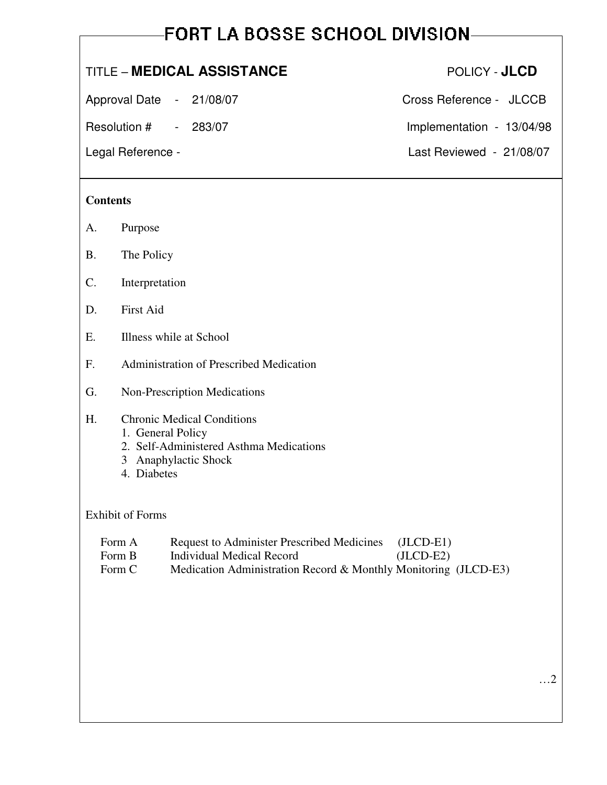# **FORT LA BOSSE SCHOOL DIVISION-**

# TITLE – **MEDICAL ASSISTANCE** POLICY - **JLCD**

Approval Date - 21/08/07 Cross Reference - JLCCB

Resolution #  $-$  283/07 Implementation - 13/04/98

#### **Contents**

- A. Purpose
- B. The Policy
- C. Interpretation
- D. First Aid
- E. Illness while at School
- F. Administration of Prescribed Medication
- G. Non-Prescription Medications

#### H. Chronic Medical Conditions

- 1. General Policy
- 2. Self-Administered Asthma Medications
- 3 Anaphylactic Shock
- 4. Diabetes

#### Exhibit of Forms

- Form A Request to Administer Prescribed Medicines (JLCD-E1)
- Form B Individual Medical Record (JLCD-E2)
	- Form C Medication Administration Record & Monthly Monitoring (JLCD-E3)

Legal Reference - Last Reviewed - 21/08/07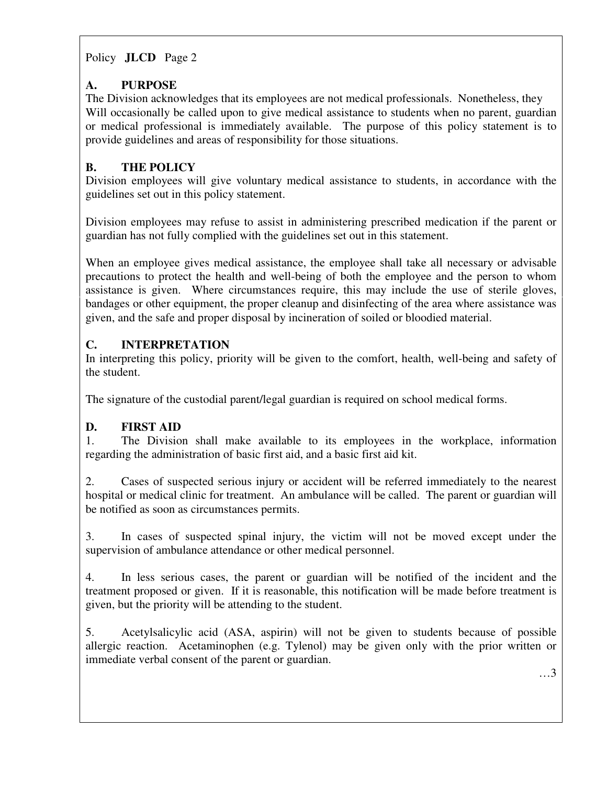# **A. PURPOSE**

The Division acknowledges that its employees are not medical professionals. Nonetheless, they Will occasionally be called upon to give medical assistance to students when no parent, guardian or medical professional is immediately available. The purpose of this policy statement is to provide guidelines and areas of responsibility for those situations.

# **B. THE POLICY**

Division employees will give voluntary medical assistance to students, in accordance with the guidelines set out in this policy statement.

Division employees may refuse to assist in administering prescribed medication if the parent or guardian has not fully complied with the guidelines set out in this statement.

When an employee gives medical assistance, the employee shall take all necessary or advisable precautions to protect the health and well-being of both the employee and the person to whom assistance is given. Where circumstances require, this may include the use of sterile gloves, bandages or other equipment, the proper cleanup and disinfecting of the area where assistance was given, and the safe and proper disposal by incineration of soiled or bloodied material.

# **C. INTERPRETATION**

In interpreting this policy, priority will be given to the comfort, health, well-being and safety of the student.

The signature of the custodial parent/legal guardian is required on school medical forms.

#### **D. FIRST AID**

1. The Division shall make available to its employees in the workplace, information regarding the administration of basic first aid, and a basic first aid kit.

2. Cases of suspected serious injury or accident will be referred immediately to the nearest hospital or medical clinic for treatment. An ambulance will be called. The parent or guardian will be notified as soon as circumstances permits.

3. In cases of suspected spinal injury, the victim will not be moved except under the supervision of ambulance attendance or other medical personnel.

4. In less serious cases, the parent or guardian will be notified of the incident and the treatment proposed or given. If it is reasonable, this notification will be made before treatment is given, but the priority will be attending to the student.

5. Acetylsalicylic acid (ASA, aspirin) will not be given to students because of possible allergic reaction. Acetaminophen (e.g. Tylenol) may be given only with the prior written or immediate verbal consent of the parent or guardian.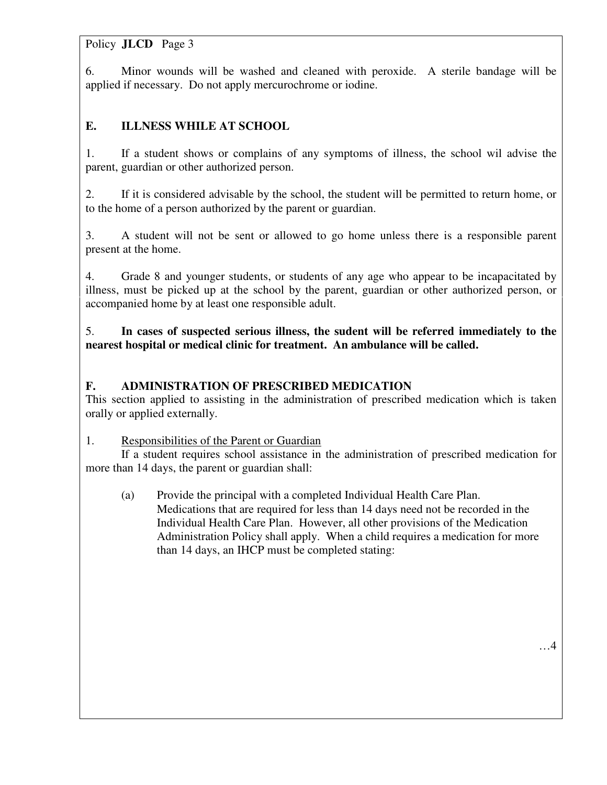6. Minor wounds will be washed and cleaned with peroxide. A sterile bandage will be applied if necessary. Do not apply mercurochrome or iodine.

# **E. ILLNESS WHILE AT SCHOOL**

1. If a student shows or complains of any symptoms of illness, the school wil advise the parent, guardian or other authorized person.

2. If it is considered advisable by the school, the student will be permitted to return home, or to the home of a person authorized by the parent or guardian.

3. A student will not be sent or allowed to go home unless there is a responsible parent present at the home.

4. Grade 8 and younger students, or students of any age who appear to be incapacitated by illness, must be picked up at the school by the parent, guardian or other authorized person, or accompanied home by at least one responsible adult.

5. **In cases of suspected serious illness, the sudent will be referred immediately to the nearest hospital or medical clinic for treatment. An ambulance will be called.** 

#### **F. ADMINISTRATION OF PRESCRIBED MEDICATION**

This section applied to assisting in the administration of prescribed medication which is taken orally or applied externally.

#### 1. Responsibilities of the Parent or Guardian

 If a student requires school assistance in the administration of prescribed medication for more than 14 days, the parent or guardian shall:

 (a) Provide the principal with a completed Individual Health Care Plan. Medications that are required for less than 14 days need not be recorded in the Individual Health Care Plan. However, all other provisions of the Medication Administration Policy shall apply. When a child requires a medication for more than 14 days, an IHCP must be completed stating: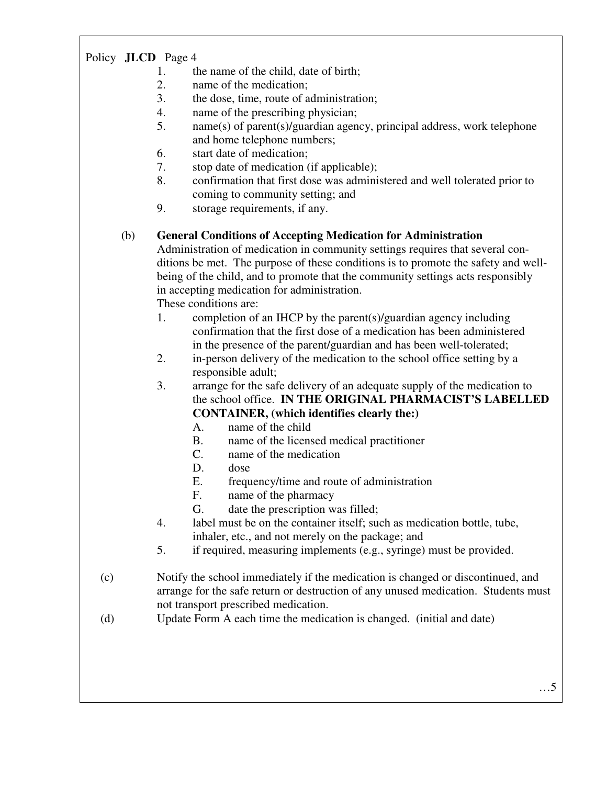- 1. the name of the child, date of birth;
- 2. name of the medication;
- 3. the dose, time, route of administration;
- 4. name of the prescribing physician;
- 5. name(s) of parent(s)/guardian agency, principal address, work telephone and home telephone numbers;
- 6. start date of medication;
- 7. stop date of medication (if applicable);
- 8. confirmation that first dose was administered and well tolerated prior to coming to community setting; and
- 9. storage requirements, if any.

#### (b) **General Conditions of Accepting Medication for Administration**

Administration of medication in community settings requires that several con ditions be met. The purpose of these conditions is to promote the safety and well being of the child, and to promote that the community settings acts responsibly in accepting medication for administration.

These conditions are:

- 1. completion of an IHCP by the parent(s)/guardian agency including confirmation that the first dose of a medication has been administered in the presence of the parent/guardian and has been well-tolerated;
- 2. in-person delivery of the medication to the school office setting by a responsible adult;
- 3. arrange for the safe delivery of an adequate supply of the medication to the school office. **IN THE ORIGINAL PHARMACIST'S LABELLED CONTAINER, (which identifies clearly the:)**
	- A. name of the child
	- B. name of the licensed medical practitioner
	- C. name of the medication
	- D. dose
	- E. frequency/time and route of administration
	- F. name of the pharmacy
	- G. date the prescription was filled;
- 4. label must be on the container itself; such as medication bottle, tube, inhaler, etc., and not merely on the package; and
- 5. if required, measuring implements (e.g., syringe) must be provided.
- (c) Notify the school immediately if the medication is changed or discontinued, and arrange for the safe return or destruction of any unused medication. Students must not transport prescribed medication.
- (d) Update Form A each time the medication is changed. (initial and date)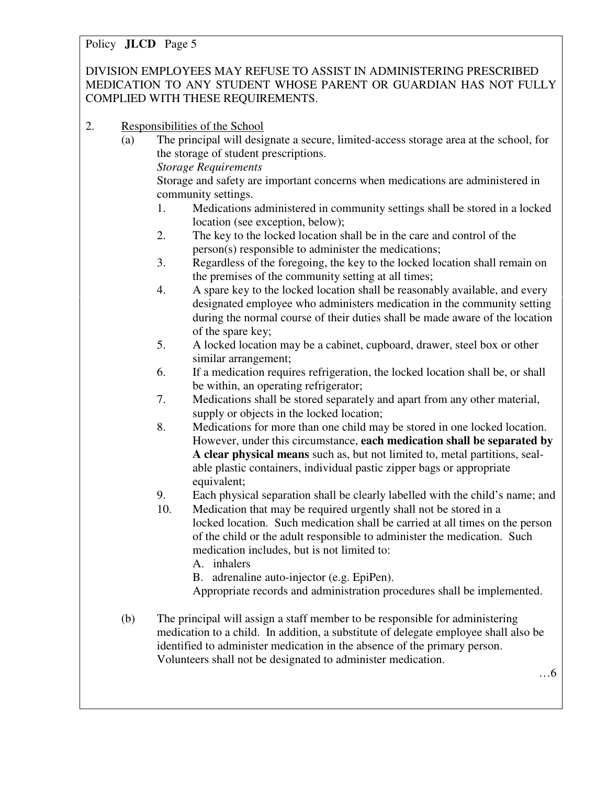DIVISION EMPLOYEES MAY REFUSE TO ASSIST IN ADMINISTERING PRESCRIBED MEDICATION TO ANY STUDENT WHOSE PARENT OR GUARDIAN HAS NOT FULLY COMPLIED WITH THESE REQUIREMENTS.

- 2. Responsibilities of the School
	- (a) The principal will designate a secure, limited-access storage area at the school, for the storage of student prescriptions.

*Storage Requirements* 

 Storage and safety are important concerns when medications are administered in community settings.

- 1. Medications administered in community settings shall be stored in a locked location (see exception, below);
- 2. The key to the locked location shall be in the care and control of the person(s) responsible to administer the medications;
- 3. Regardless of the foregoing, the key to the locked location shall remain on the premises of the community setting at all times;
- 4. A spare key to the locked location shall be reasonably available, and every designated employee who administers medication in the community setting during the normal course of their duties shall be made aware of the location of the spare key;
- 5. A locked location may be a cabinet, cupboard, drawer, steel box or other similar arrangement;
- 6. If a medication requires refrigeration, the locked location shall be, or shall be within, an operating refrigerator;
- 7. Medications shall be stored separately and apart from any other material, supply or objects in the locked location;
- 8. Medications for more than one child may be stored in one locked location. However, under this circumstance, **each medication shall be separated by A clear physical means** such as, but not limited to, metal partitions, seal able plastic containers, individual pastic zipper bags or appropriate equivalent;
- 9. Each physical separation shall be clearly labelled with the child's name; and
- 10. Medication that may be required urgently shall not be stored in a locked location. Such medication shall be carried at all times on the person of the child or the adult responsible to administer the medication. Such medication includes, but is not limited to:
	- A. inhalers
	- B. adrenaline auto-injector (e.g. EpiPen).
	- Appropriate records and administration procedures shall be implemented.
- (b) The principal will assign a staff member to be responsible for administering medication to a child. In addition, a substitute of delegate employee shall also be identified to administer medication in the absence of the primary person. Volunteers shall not be designated to administer medication.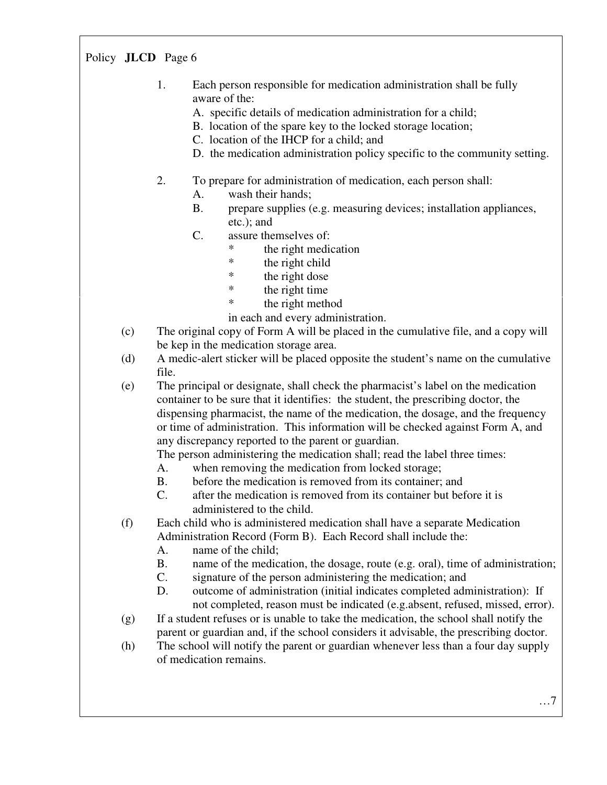- 1. Each person responsible for medication administration shall be fully aware of the:
	- A. specific details of medication administration for a child;
	- B. location of the spare key to the locked storage location;
	- C. location of the IHCP for a child; and
	- D. the medication administration policy specific to the community setting.
- 2. To prepare for administration of medication, each person shall:
	- A. wash their hands;
	- B. prepare supplies (e.g. measuring devices; installation appliances, etc.); and
	- C. assure themselves of:
		- \* the right medication
		- \* the right child
		- \* the right dose
		- \* the right time
		- \* the right method

in each and every administration.

- (c) The original copy of Form A will be placed in the cumulative file, and a copy will be kep in the medication storage area.
- (d) A medic-alert sticker will be placed opposite the student's name on the cumulative file.
- (e) The principal or designate, shall check the pharmacist's label on the medication container to be sure that it identifies: the student, the prescribing doctor, the dispensing pharmacist, the name of the medication, the dosage, and the frequency or time of administration. This information will be checked against Form A, and any discrepancy reported to the parent or guardian.
	- The person administering the medication shall; read the label three times:
	- A. when removing the medication from locked storage;
	- B. before the medication is removed from its container; and
	- C. after the medication is removed from its container but before it is administered to the child.

 (f) Each child who is administered medication shall have a separate Medication Administration Record (Form B). Each Record shall include the:

- A. name of the child;
- B. name of the medication, the dosage, route (e.g. oral), time of administration;
- C. signature of the person administering the medication; and
- D. outcome of administration (initial indicates completed administration): If not completed, reason must be indicated (e.g.absent, refused, missed, error).
- (g) If a student refuses or is unable to take the medication, the school shall notify the parent or guardian and, if the school considers it advisable, the prescribing doctor.
- (h) The school will notify the parent or guardian whenever less than a four day supply of medication remains.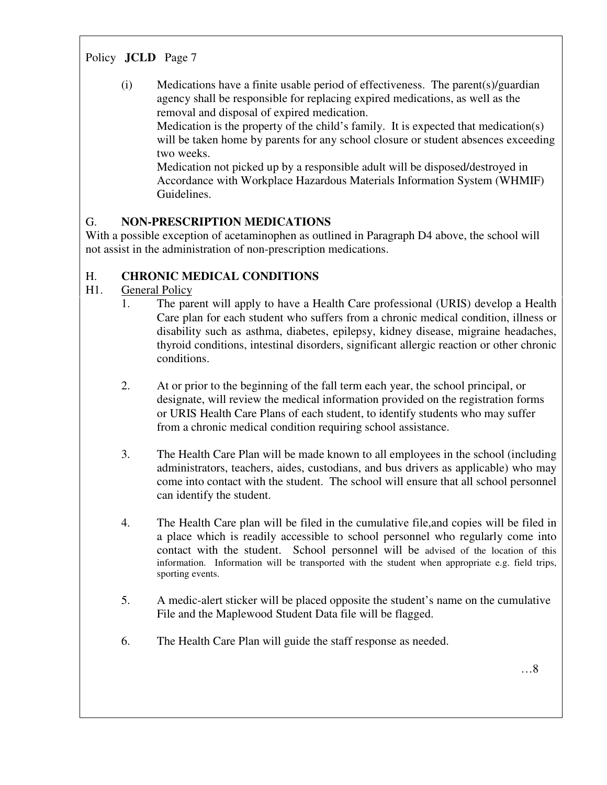(i) Medications have a finite usable period of effectiveness. The parent(s)/guardian agency shall be responsible for replacing expired medications, as well as the removal and disposal of expired medication.

 Medication is the property of the child's family. It is expected that medication(s) will be taken home by parents for any school closure or student absences exceeding two weeks.

 Medication not picked up by a responsible adult will be disposed/destroyed in Accordance with Workplace Hazardous Materials Information System (WHMIF) Guidelines.

#### G. **NON-PRESCRIPTION MEDICATIONS**

With a possible exception of acetaminophen as outlined in Paragraph D4 above, the school will not assist in the administration of non-prescription medications.

#### H. **CHRONIC MEDICAL CONDITIONS**

#### H1. General Policy

- 1. The parent will apply to have a Health Care professional (URIS) develop a Health Care plan for each student who suffers from a chronic medical condition, illness or disability such as asthma, diabetes, epilepsy, kidney disease, migraine headaches, thyroid conditions, intestinal disorders, significant allergic reaction or other chronic conditions.
	- 2. At or prior to the beginning of the fall term each year, the school principal, or designate, will review the medical information provided on the registration forms or URIS Health Care Plans of each student, to identify students who may suffer from a chronic medical condition requiring school assistance.
	- 3. The Health Care Plan will be made known to all employees in the school (including administrators, teachers, aides, custodians, and bus drivers as applicable) who may come into contact with the student. The school will ensure that all school personnel can identify the student.
	- 4. The Health Care plan will be filed in the cumulative file,and copies will be filed in a place which is readily accessible to school personnel who regularly come into contact with the student. School personnel will be advised of the location of this information. Information will be transported with the student when appropriate e.g. field trips, sporting events.
	- 5. A medic-alert sticker will be placed opposite the student's name on the cumulative File and the Maplewood Student Data file will be flagged.
	- 6. The Health Care Plan will guide the staff response as needed.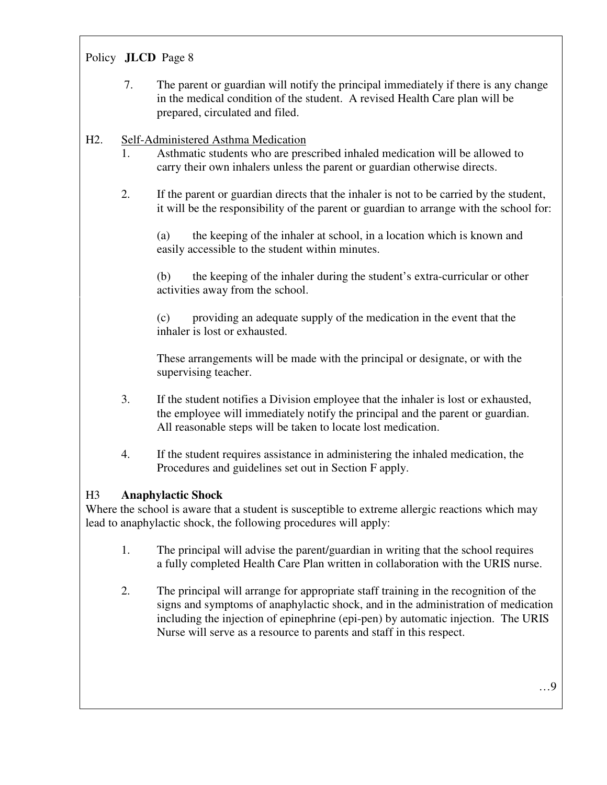7. The parent or guardian will notify the principal immediately if there is any change in the medical condition of the student. A revised Health Care plan will be prepared, circulated and filed.

#### H2. Self-Administered Asthma Medication

- 1. Asthmatic students who are prescribed inhaled medication will be allowed to carry their own inhalers unless the parent or guardian otherwise directs.
- 2. If the parent or guardian directs that the inhaler is not to be carried by the student, it will be the responsibility of the parent or guardian to arrange with the school for:

 (a) the keeping of the inhaler at school, in a location which is known and easily accessible to the student within minutes.

 (b) the keeping of the inhaler during the student's extra-curricular or other activities away from the school.

 (c) providing an adequate supply of the medication in the event that the inhaler is lost or exhausted.

 These arrangements will be made with the principal or designate, or with the supervising teacher.

- 3. If the student notifies a Division employee that the inhaler is lost or exhausted, the employee will immediately notify the principal and the parent or guardian. All reasonable steps will be taken to locate lost medication.
- 4. If the student requires assistance in administering the inhaled medication, the Procedures and guidelines set out in Section F apply.

#### H3 **Anaphylactic Shock**

Where the school is aware that a student is susceptible to extreme allergic reactions which may lead to anaphylactic shock, the following procedures will apply:

- 1. The principal will advise the parent/guardian in writing that the school requires a fully completed Health Care Plan written in collaboration with the URIS nurse.
- 2. The principal will arrange for appropriate staff training in the recognition of the signs and symptoms of anaphylactic shock, and in the administration of medication including the injection of epinephrine (epi-pen) by automatic injection. The URIS Nurse will serve as a resource to parents and staff in this respect.